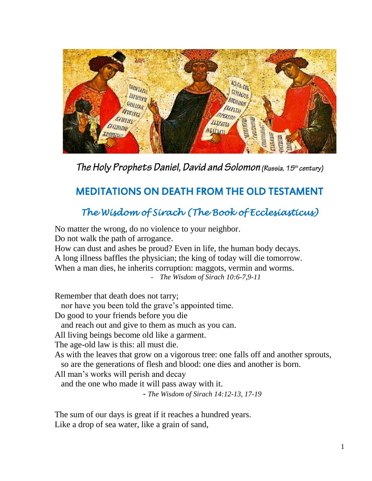

The Holy Prophets Daniel, David and Solomon (Russia, 15th century)

# MEDITATIONS ON DEATH FROM THE OLD TESTAMENT

## *The Wisdom of Sirach (The Book of Ecclesiasticus)*

No matter the wrong, do no violence to your neighbor. Do not walk the path of arrogance. How can dust and ashes be proud? Even in life, the human body decays. A long illness baffles the physician; the king of today will die tomorrow. When a man dies, he inherits corruption: maggots, vermin and worms. - *The Wisdom of Sirach 10:6-7,9-11* Remember that death does not tarry; nor have you been told the grave's appointed time. Do good to your friends before you die and reach out and give to them as much as you can. All living beings become old like a garment. The age-old law is this: all must die. As with the leaves that grow on a vigorous tree: one falls off and another sprouts, so are the generations of flesh and blood: one dies and another is born. All man's works will perish and decay and the one who made it will pass away with it. - *The Wisdom of Sirach 14:12-13, 17-19*

The sum of our days is great if it reaches a hundred years. Like a drop of sea water, like a grain of sand,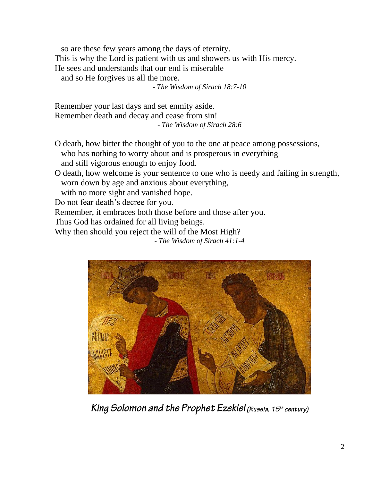so are these few years among the days of eternity. This is why the Lord is patient with us and showers us with His mercy. He sees and understands that our end is miserable

and so He forgives us all the more.

- *The Wisdom of Sirach 18:7-10*

Remember your last days and set enmity aside. Remember death and decay and cease from sin! - *The Wisdom of Sirach 28:6*

- O death, how bitter the thought of you to the one at peace among possessions, who has nothing to worry about and is prosperous in everything and still vigorous enough to enjoy food.
- O death, how welcome is your sentence to one who is needy and failing in strength, worn down by age and anxious about everything,

with no more sight and vanished hope.

Do not fear death's decree for you.

Remember, it embraces both those before and those after you.

Thus God has ordained for all living beings.

Why then should you reject the will of the Most High?

- *The Wisdom of Sirach 41:1-4*



King Solomon and the Prophet Ezekiel (Russia, 15th century)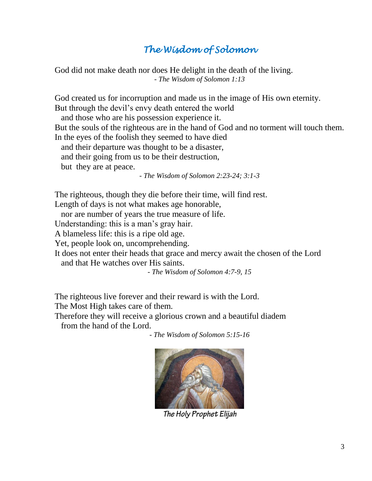## *The Wisdom of Solomon*

God did not make death nor does He delight in the death of the living. - *The Wisdom of Solomon 1:13*

God created us for incorruption and made us in the image of His own eternity. But through the devil's envy death entered the world

and those who are his possession experience it.

But the souls of the righteous are in the hand of God and no torment will touch them. In the eyes of the foolish they seemed to have died

and their departure was thought to be a disaster,

and their going from us to be their destruction,

but they are at peace.

- *The Wisdom of Solomon 2:23-24; 3:1-3*

The righteous, though they die before their time, will find rest.

Length of days is not what makes age honorable,

nor are number of years the true measure of life.

Understanding: this is a man's gray hair.

A blameless life: this is a ripe old age.

Yet, people look on, uncomprehending.

It does not enter their heads that grace and mercy await the chosen of the Lord and that He watches over His saints.

- *The Wisdom of Solomon 4:7-9, 15*

The righteous live forever and their reward is with the Lord.

The Most High takes care of them.

Therefore they will receive a glorious crown and a beautiful diadem from the hand of the Lord.

- *The Wisdom of Solomon 5:15-16*



The Holy Prophet Elijah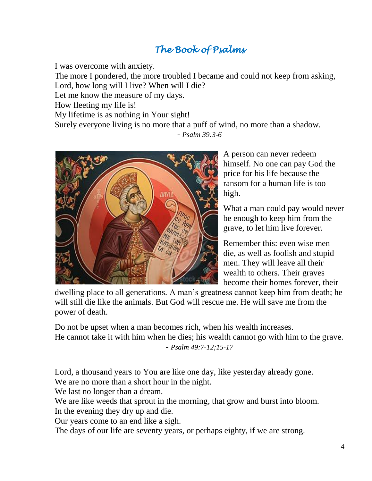# *The Book of Psalms*

I was overcome with anxiety.

The more I pondered, the more troubled I became and could not keep from asking, Lord, how long will I live? When will I die?

Let me know the measure of my days.

How fleeting my life is!

My lifetime is as nothing in Your sight!

Surely everyone living is no more that a puff of wind, no more than a shadow. *- Psalm 39:3-6*



A person can never redeem himself. No one can pay God the price for his life because the ransom for a human life is too high.

What a man could pay would never be enough to keep him from the grave, to let him live forever.

Remember this: even wise men die, as well as foolish and stupid men. They will leave all their wealth to others. Their graves become their homes forever, their

dwelling place to all generations. A man's greatness cannot keep him from death; he will still die like the animals. But God will rescue me. He will save me from the power of death.

Do not be upset when a man becomes rich, when his wealth increases. He cannot take it with him when he dies; his wealth cannot go with him to the grave. *- Psalm 49:7-12;15-17*

Lord, a thousand years to You are like one day, like yesterday already gone. We are no more than a short hour in the night.

We last no longer than a dream.

We are like weeds that sprout in the morning, that grow and burst into bloom. In the evening they dry up and die.

Our years come to an end like a sigh.

The days of our life are seventy years, or perhaps eighty, if we are strong.